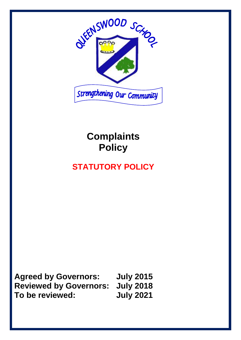

# **Complaints Policy**

# **STATUTORY POLICY**

**Agreed by Governors: July 2015 Reviewed by Governors: July 2018 To be reviewed: July 2021**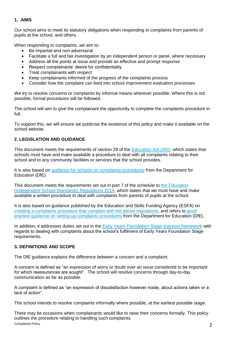# **1. AIMS**

Our school aims to meet its statutory obligations when responding to complaints from parents of pupils at the school, and others.

When responding to complaints, we aim to:

- Be impartial and non-adversarial
- Facilitate a full and fair investigation by an independent person or panel, where necessary
- Address all the points at issue and provide an effective and prompt response
- Respect complainants' desire for confidentiality
- Treat complainants with respect
- Keep complainants informed of the progress of the complaints process
- Consider how the complaint can feed into school improvement evaluation processes

We try to resolve concerns or complaints by informal means wherever possible. Where this is not possible, formal procedures will be followed.

The school will aim to give the complainant the opportunity to complete the complaints procedure in full.

To support this, we will ensure we publicise the existence of this policy and make it available on the school website.

# **2. LEGISLATION AND GUIDANCE**

This document meets the requirements of section 29 of the [Education Act 2002,](http://www.legislation.gov.uk/ukpga/2002/32/section/29) which states that schools must have and make available a procedure to deal with all complaints relating to their school and to any community facilities or services that the school provides.

It is also based on [guidance for schools on complaints procedures](https://www.gov.uk/government/publications/school-complaints-procedures) from the Department for Education (DfE).

This document meets the requirements set out in part 7 of the schedule to the Education [\(Independent School Standards\) Regulations 2014,](http://www.legislation.gov.uk/uksi/2014/3283/schedule/made) which states that we must have and make available a written procedure to deal with complaints from parents of pupils at the school.

It is also based on guidance published by the Education and Skills Funding Agency (ESFA) on [creating a complaints procedure that complies with the](https://www.gov.uk/government/publications/setting-up-an-academies-complaints-procedure) above regulations, and refers to [good](https://www.gov.uk/government/publications/school-complaints-procedures)  [practice guidance on setting up complaints procedures](https://www.gov.uk/government/publications/school-complaints-procedures) from the Department for Education (DfE).

In addition, it addresses duties set out in the [Early Years Foundation Stage statutory framework](https://www.gov.uk/government/uploads/system/uploads/attachment_data/file/596629/EYFS_STATUTORY_FRAMEWORK_2017.pdf) with regards to dealing with complaints about the school's fulfilment of Early Years Foundation Stage requirements.

# **3. DEFINITIONS AND SCOPE**

The DfE guidance explains the difference between a concern and a complaint.

A concern is defined as "an expression of worry or doubt over an issue considered to be important for which reassurances are sought". The school will resolve concerns through day-to-day communication as far as possible.

A complaint is defined as "an expression of dissatisfaction however made, about actions taken or a lack of action".

The school intends to resolve complaints informally where possible, at the earliest possible stage.

**Complaints Policy** 2 There may be occasions when complainants would like to raise their concerns formally. This policy outlines the procedure relating to handling such complaints.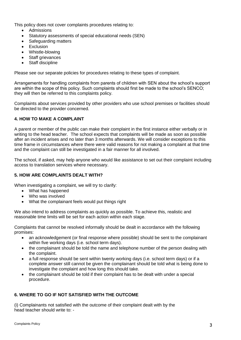This policy does not cover complaints procedures relating to:

- Admissions
- Statutory assessments of special educational needs (SEN)
- Safeguarding matters
- **Exclusion**
- Whistle-blowing
- Staff grievances
- **Staff discipline**

Please see our separate policies for procedures relating to these types of complaint.

Arrangements for handling complaints from parents of children with SEN about the school's support are within the scope of this policy. Such complaints should first be made to the school's SENCO; they will then be referred to this complaints policy.

Complaints about services provided by other providers who use school premises or facilities should be directed to the provider concerned.

#### **4. HOW TO MAKE A COMPLAINT**

A parent or member of the public can make their complaint in the first instance either verbally or in writing to the head teacher. The school expects that complaints will be made as soon as possible after an incident arises and no later than 3 months afterwards. We will consider exceptions to this time frame in circumstances where there were valid reasons for not making a complaint at that time and the complaint can still be investigated in a fair manner for all involved.

The school, if asked, may help anyone who would like assistance to set out their complaint including access to translation services where necessary.

#### **5. HOW ARE COMPLAINTS DEALT WITH?**

When investigating a complaint, we will try to clarify:

- What has happened
- Who was involved
- What the complainant feels would put things right

We also intend to address complaints as quickly as possible. To achieve this, realistic and reasonable time limits will be set for each action within each stage.

Complaints that cannot be resolved informally should be dealt in accordance with the following promises:

- an acknowledgement (or final response where possible) should be sent to the complainant within five working days (i.e. school term days).
- the complainant should be told the name and telephone number of the person dealing with the complaint.
- a full response should be sent within twenty working days (i.e. school term days) or if a complete answer still cannot be given the complainant should be told what is being done to investigate the complaint and how long this should take.
- the complainant should be told if their complaint has to be dealt with under a special procedure.

# **6. WHERE TO GO IF NOT SATISFIED WITH THE OUTCOME**

(i) Complainants not satisfied with the outcome of their complaint dealt with by the head teacher should write to: -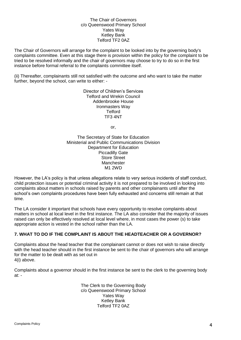#### The Chair of Governors c/o Queenswood Primary School Yates Way Ketley Bank Telford TF2 0AZ

The Chair of Governors will arrange for the complaint to be looked into by the governing body's complaints committee. Even at this stage there is provision within the policy for the complaint to be tried to be resolved informally and the chair of governors may choose to try to do so in the first instance before formal referral to the complaints committee itself.

(ii) Thereafter, complainants still not satisfied with the outcome and who want to take the matter further, beyond the school, can write to either: -

> Director of Children's Services Telford and Wrekin Council Addenbrooke House Ironmasters Way **Telford** TF3 4NT

> > or,

The Secretary of State for Education Ministerial and Public Communications Division Department for Education Piccadilly Gate Store Street Manchester M1 2WD

However, the LA's policy is that unless allegations relate to very serious incidents of staff conduct, child protection issues or potential criminal activity it is not prepared to be involved in looking into complaints about matters in schools raised by parents and other complainants until after the school's own complaints procedures have been fully exhausted and concerns still remain at that time.

The LA consider it important that schools have every opportunity to resolve complaints about matters in school at local level in the first instance. The LA also consider that the majority of issues raised can only be effectively resolved at local level where, in most cases the power (s) to take appropriate action is vested in the school rather than the LA.

# **7. WHAT TO DO IF THE COMPLAINT IS ABOUT THE HEADTEACHER OR A GOVERNOR?**

Complaints about the head teacher that the complainant cannot or does not wish to raise directly with the head teacher should in the first instance be sent to the chair of governors who will arrange for the matter to be dealt with as set out in 4(i) above.

Complaints about a governor should in the first instance be sent to the clerk to the governing body at: -

> The Clerk to the Governing Body c/o Queenswood Primary School Yates Way Ketley Bank Telford TF2 0AZ